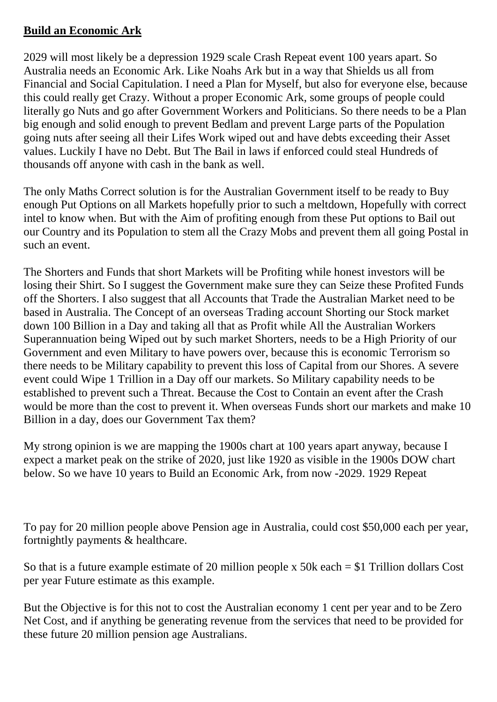## **Build an Economic Ark**

2029 will most likely be a depression 1929 scale Crash Repeat event 100 years apart. So Australia needs an Economic Ark. Like Noahs Ark but in a way that Shields us all from Financial and Social Capitulation. I need a Plan for Myself, but also for everyone else, because this could really get Crazy. Without a proper Economic Ark, some groups of people could literally go Nuts and go after Government Workers and Politicians. So there needs to be a Plan big enough and solid enough to prevent Bedlam and prevent Large parts of the Population going nuts after seeing all their Lifes Work wiped out and have debts exceeding their Asset values. Luckily I have no Debt. But The Bail in laws if enforced could steal Hundreds of thousands off anyone with cash in the bank as well.

The only Maths Correct solution is for the Australian Government itself to be ready to Buy enough Put Options on all Markets hopefully prior to such a meltdown, Hopefully with correct intel to know when. But with the Aim of profiting enough from these Put options to Bail out our Country and its Population to stem all the Crazy Mobs and prevent them all going Postal in such an event.

The Shorters and Funds that short Markets will be Profiting while honest investors will be losing their Shirt. So I suggest the Government make sure they can Seize these Profited Funds off the Shorters. I also suggest that all Accounts that Trade the Australian Market need to be based in Australia. The Concept of an overseas Trading account Shorting our Stock market down 100 Billion in a Day and taking all that as Profit while All the Australian Workers Superannuation being Wiped out by such market Shorters, needs to be a High Priority of our Government and even Military to have powers over, because this is economic Terrorism so there needs to be Military capability to prevent this loss of Capital from our Shores. A severe event could Wipe 1 Trillion in a Day off our markets. So Military capability needs to be established to prevent such a Threat. Because the Cost to Contain an event after the Crash would be more than the cost to prevent it. When overseas Funds short our markets and make 10 Billion in a day, does our Government Tax them?

My strong opinion is we are mapping the 1900s chart at 100 years apart anyway, because I expect a market peak on the strike of 2020, just like 1920 as visible in the 1900s DOW chart below. So we have 10 years to Build an Economic Ark, from now -2029. 1929 Repeat

To pay for 20 million people above Pension age in Australia, could cost \$50,000 each per year, fortnightly payments & healthcare.

So that is a future example estimate of 20 million people x 50k each = \$1 Trillion dollars Cost per year Future estimate as this example.

But the Objective is for this not to cost the Australian economy 1 cent per year and to be Zero Net Cost, and if anything be generating revenue from the services that need to be provided for these future 20 million pension age Australians.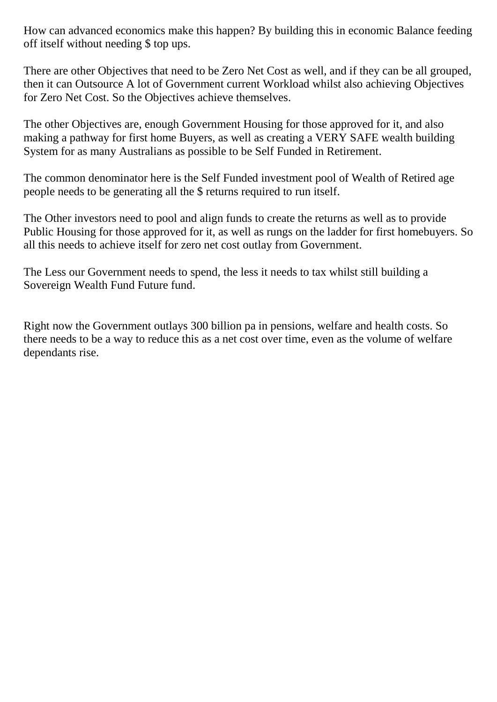How can advanced economics make this happen? By building this in economic Balance feeding off itself without needing \$ top ups.

There are other Objectives that need to be Zero Net Cost as well, and if they can be all grouped, then it can Outsource A lot of Government current Workload whilst also achieving Objectives for Zero Net Cost. So the Objectives achieve themselves.

The other Objectives are, enough Government Housing for those approved for it, and also making a pathway for first home Buyers, as well as creating a VERY SAFE wealth building System for as many Australians as possible to be Self Funded in Retirement.

The common denominator here is the Self Funded investment pool of Wealth of Retired age people needs to be generating all the \$ returns required to run itself.

The Other investors need to pool and align funds to create the returns as well as to provide Public Housing for those approved for it, as well as rungs on the ladder for first homebuyers. So all this needs to achieve itself for zero net cost outlay from Government.

The Less our Government needs to spend, the less it needs to tax whilst still building a Sovereign Wealth Fund Future fund.

Right now the Government outlays 300 billion pa in pensions, welfare and health costs. So there needs to be a way to reduce this as a net cost over time, even as the volume of welfare dependants rise.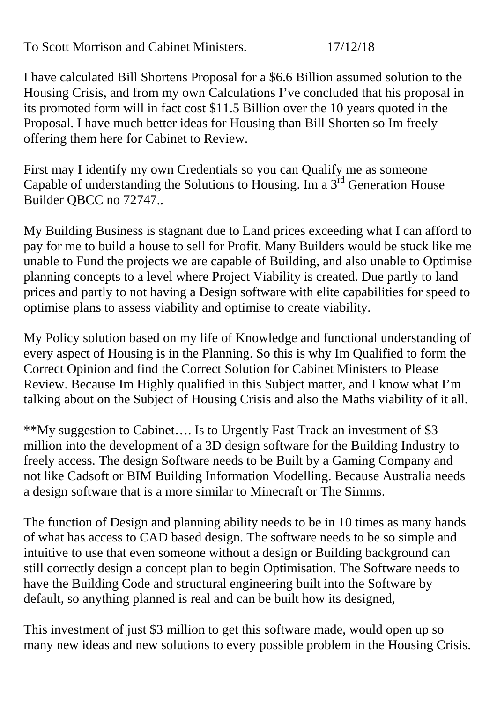To Scott Morrison and Cabinet Ministers. 17/12/18

I have calculated Bill Shortens Proposal for a \$6.6 Billion assumed solution to the Housing Crisis, and from my own Calculations I've concluded that his proposal in its promoted form will in fact cost \$11.5 Billion over the 10 years quoted in the Proposal. I have much better ideas for Housing than Bill Shorten so Im freely offering them here for Cabinet to Review.

First may I identify my own Credentials so you can Qualify me as someone Capable of understanding the Solutions to Housing. Im a  $3<sup>rd</sup>$  Generation House Builder QBCC no 72747..

My Building Business is stagnant due to Land prices exceeding what I can afford to pay for me to build a house to sell for Profit. Many Builders would be stuck like me unable to Fund the projects we are capable of Building, and also unable to Optimise planning concepts to a level where Project Viability is created. Due partly to land prices and partly to not having a Design software with elite capabilities for speed to optimise plans to assess viability and optimise to create viability.

My Policy solution based on my life of Knowledge and functional understanding of every aspect of Housing is in the Planning. So this is why Im Qualified to form the Correct Opinion and find the Correct Solution for Cabinet Ministers to Please Review. Because Im Highly qualified in this Subject matter, and I know what I'm talking about on the Subject of Housing Crisis and also the Maths viability of it all.

\*\*My suggestion to Cabinet…. Is to Urgently Fast Track an investment of \$3 million into the development of a 3D design software for the Building Industry to freely access. The design Software needs to be Built by a Gaming Company and not like Cadsoft or BIM Building Information Modelling. Because Australia needs a design software that is a more similar to Minecraft or The Simms.

The function of Design and planning ability needs to be in 10 times as many hands of what has access to CAD based design. The software needs to be so simple and intuitive to use that even someone without a design or Building background can still correctly design a concept plan to begin Optimisation. The Software needs to have the Building Code and structural engineering built into the Software by default, so anything planned is real and can be built how its designed,

This investment of just \$3 million to get this software made, would open up so many new ideas and new solutions to every possible problem in the Housing Crisis.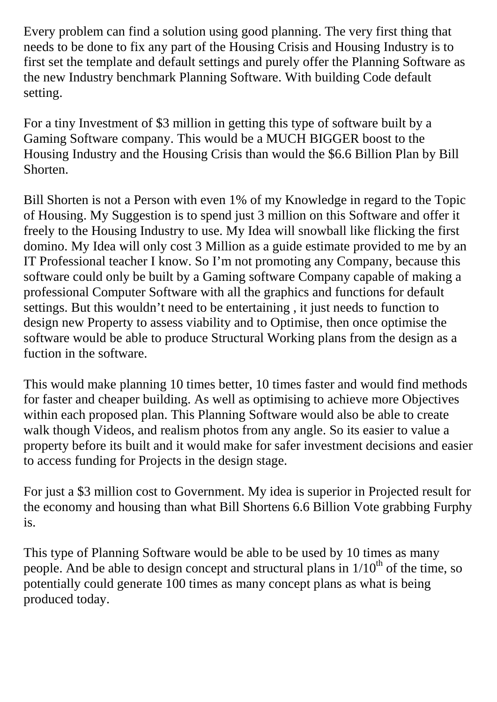Every problem can find a solution using good planning. The very first thing that needs to be done to fix any part of the Housing Crisis and Housing Industry is to first set the template and default settings and purely offer the Planning Software as the new Industry benchmark Planning Software. With building Code default setting.

For a tiny Investment of \$3 million in getting this type of software built by a Gaming Software company. This would be a MUCH BIGGER boost to the Housing Industry and the Housing Crisis than would the \$6.6 Billion Plan by Bill Shorten.

Bill Shorten is not a Person with even 1% of my Knowledge in regard to the Topic of Housing. My Suggestion is to spend just 3 million on this Software and offer it freely to the Housing Industry to use. My Idea will snowball like flicking the first domino. My Idea will only cost 3 Million as a guide estimate provided to me by an IT Professional teacher I know. So I'm not promoting any Company, because this software could only be built by a Gaming software Company capable of making a professional Computer Software with all the graphics and functions for default settings. But this wouldn't need to be entertaining , it just needs to function to design new Property to assess viability and to Optimise, then once optimise the software would be able to produce Structural Working plans from the design as a fuction in the software.

This would make planning 10 times better, 10 times faster and would find methods for faster and cheaper building. As well as optimising to achieve more Objectives within each proposed plan. This Planning Software would also be able to create walk though Videos, and realism photos from any angle. So its easier to value a property before its built and it would make for safer investment decisions and easier to access funding for Projects in the design stage.

For just a \$3 million cost to Government. My idea is superior in Projected result for the economy and housing than what Bill Shortens 6.6 Billion Vote grabbing Furphy is.

This type of Planning Software would be able to be used by 10 times as many people. And be able to design concept and structural plans in  $1/10<sup>th</sup>$  of the time, so potentially could generate 100 times as many concept plans as what is being produced today.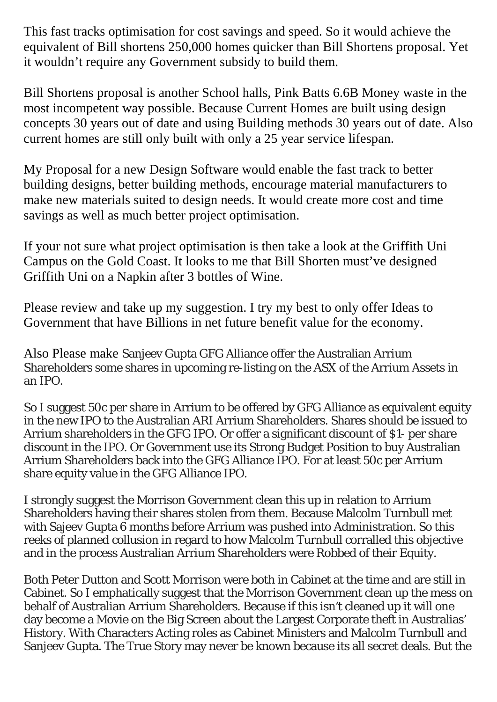This fast tracks optimisation for cost savings and speed. So it would achieve the equivalent of Bill shortens 250,000 homes quicker than Bill Shortens proposal. Yet it wouldn't require any Government subsidy to build them.

Bill Shortens proposal is another School halls, Pink Batts 6.6B Money waste in the most incompetent way possible. Because Current Homes are built using design concepts 30 years out of date and using Building methods 30 years out of date. Also current homes are still only built with only a 25 year service lifespan.

My Proposal for a new Design Software would enable the fast track to better building designs, better building methods, encourage material manufacturers to make new materials suited to design needs. It would create more cost and time savings as well as much better project optimisation.

If your not sure what project optimisation is then take a look at the Griffith Uni Campus on the Gold Coast. It looks to me that Bill Shorten must've designed Griffith Uni on a Napkin after 3 bottles of Wine.

Please review and take up my suggestion. I try my best to only offer Ideas to Government that have Billions in net future benefit value for the economy.

Also Please make Sanjeev Gupta GFG Alliance offer the Australian Arrium Shareholders some shares in upcoming re-listing on the ASX of the Arrium Assets in an IPO.

So I suggest 50c per share in Arrium to be offered by GFG Alliance as equivalent equity in the new IPO to the Australian ARI Arrium Shareholders. Shares should be issued to Arrium shareholders in the GFG IPO. Or offer a significant discount of \$1- per share discount in the IPO. Or Government use its Strong Budget Position to buy Australian Arrium Shareholders back into the GFG Alliance IPO. For at least 50c per Arrium share equity value in the GFG Alliance IPO.

I strongly suggest the Morrison Government clean this up in relation to Arrium Shareholders having their shares stolen from them. Because Malcolm Turnbull met with Sajeev Gupta 6 months before Arrium was pushed into Administration. So this reeks of planned collusion in regard to how Malcolm Turnbull corralled this objective and in the process Australian Arrium Shareholders were Robbed of their Equity.

Both Peter Dutton and Scott Morrison were both in Cabinet at the time and are still in Cabinet. So I emphatically suggest that the Morrison Government clean up the mess on behalf of Australian Arrium Shareholders. Because if this isn't cleaned up it will one day become a Movie on the Big Screen about the Largest Corporate theft in Australias' History. With Characters Acting roles as Cabinet Ministers and Malcolm Turnbull and Sanjeev Gupta. The True Story may never be known because its all secret deals. But the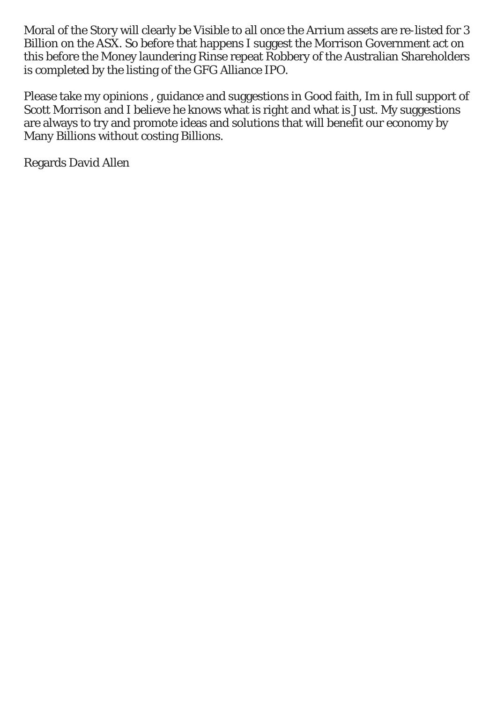Moral of the Story will clearly be Visible to all once the Arrium assets are re-listed for 3 Billion on the ASX. So before that happens I suggest the Morrison Government act on this before the Money laundering Rinse repeat Robbery of the Australian Shareholders is completed by the listing of the GFG Alliance IPO.

Please take my opinions , guidance and suggestions in Good faith, Im in full support of Scott Morrison and I believe he knows what is right and what is Just. My suggestions are always to try and promote ideas and solutions that will benefit our economy by Many Billions without costing Billions.

Regards David Allen